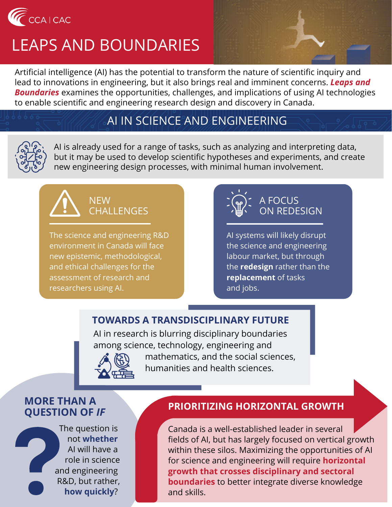

# LEAPS AND BOUNDARIES

Artificial intelligence (AI) has the potential to transform the nature of scientific inquiry and lead to innovations in engineering, but it also brings real and imminent concerns. *Leaps and Boundaries* examines the opportunities, challenges, and implications of using AI technologies to enable scientific and engineering research design and discovery in Canada.

## AI IN SCIENCE AND ENGINEERING



AI is already used for a range of tasks, such as analyzing and interpreting data, but it may be used to develop scientific hypotheses and experiments, and create new engineering design processes, with minimal human involvement.



The science and engineering R&D environment in Canada will face new epistemic, methodological, and ethical challenges for the assessment of research and researchers using AI.



AI systems will likely disrupt the science and engineering labour market, but through the **redesign** rather than the **replacement** of tasks and jobs.

## **TOWARDS A TRANSDISCIPLINARY FUTURE**

AI in research is blurring disciplinary boundaries among science, technology, engineering and



 mathematics, and the social sciences, humanities and health sciences.

#### **MORE THAN A QUESTION OF** *IF*

The question is not **whether** AI will have a role in science and engineering R&D, but rather, **how quickly**?

#### **PRIORITIZING HORIZONTAL GROWTH**

Canada is a well-established leader in several fields of AI, but has largely focused on vertical growth within these silos. Maximizing the opportunities of AI for science and engineering will require **horizontal growth that crosses disciplinary and sectoral boundaries** to better integrate diverse knowledge and skills.